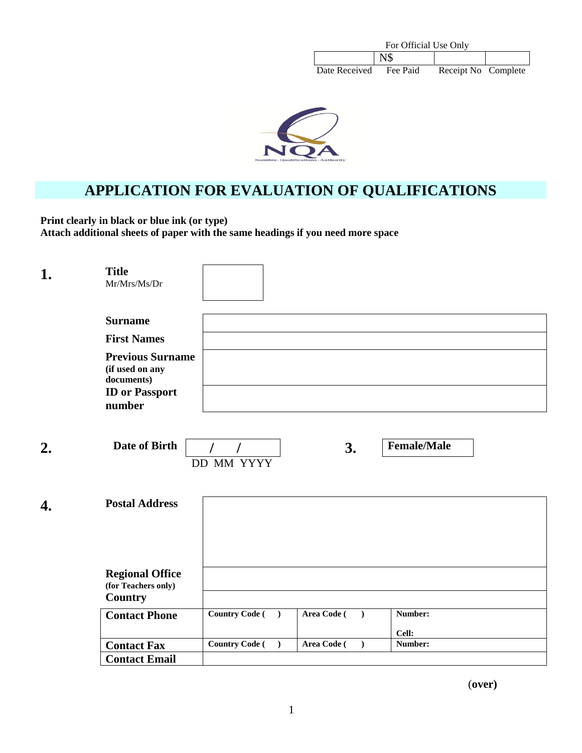| For Official Use Only |          |                     |  |
|-----------------------|----------|---------------------|--|
|                       | N\$      |                     |  |
| Date Received         | Fee Paid | Receipt No Complete |  |



# **APPLICATION FOR EVALUATION OF QUALIFICATIONS**

**Print clearly in black or blue ink (or type) Attach additional sheets of paper with the same headings if you need more space**

| 1. | <b>Title</b><br>$Mr/Mrs/Ms/Dr$                                                              |                                    |                          |                    |
|----|---------------------------------------------------------------------------------------------|------------------------------------|--------------------------|--------------------|
|    | <b>Surname</b>                                                                              |                                    |                          |                    |
|    | <b>First Names</b>                                                                          |                                    |                          |                    |
|    | <b>Previous Surname</b><br>(if used on any<br>documents)<br><b>ID</b> or Passport<br>number |                                    |                          |                    |
| 2. | Date of Birth                                                                               | <b>DD MM YYYY</b>                  | 3.                       | <b>Female/Male</b> |
| 4. | <b>Postal Address</b>                                                                       |                                    |                          |                    |
|    |                                                                                             |                                    |                          |                    |
|    | <b>Regional Office</b><br>(for Teachers only)<br><b>Country</b>                             |                                    |                          |                    |
|    | <b>Contact Phone</b>                                                                        | <b>Country Code</b> (              | Area Code (<br>$\lambda$ | Number:            |
|    |                                                                                             |                                    |                          | Cell:              |
|    | <b>Contact Fax</b>                                                                          | <b>Country Code</b> (<br>$\lambda$ | Area Code (<br>$\lambda$ | Number:            |
|    | <b>Contact Email</b>                                                                        |                                    |                          |                    |

(**over)**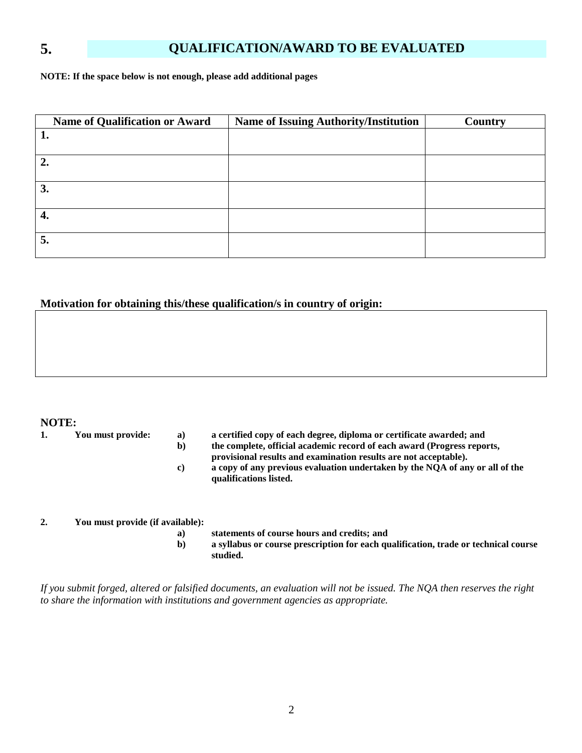## **5. QUALIFICATION/AWARD TO BE EVALUATED**

**NOTE: If the space below is not enough, please add additional pages**

| Name of Qualification or Award | <b>Name of Issuing Authority/Institution</b> | <b>Country</b> |
|--------------------------------|----------------------------------------------|----------------|
|                                |                                              |                |
|                                |                                              |                |
| $\overline{2}$ .               |                                              |                |
|                                |                                              |                |
| 3.                             |                                              |                |
|                                |                                              |                |
| 4.                             |                                              |                |
|                                |                                              |                |
| 5.                             |                                              |                |
|                                |                                              |                |

#### **Motivation for obtaining this/these qualification/s in country of origin:**

#### **NOTE:**

- 
- **1. You must provide: a) a certified copy of each degree, diploma or certificate awarded; and**
	- **b) the complete, official academic record of each award (Progress reports,**
	- **provisional results and examination results are not acceptable).**
	- **c) a copy of any previous evaluation undertaken by the NQA of any or all of the qualifications listed.**

#### **2. You must provide (if available):**

- **a) statements of course hours and credits; and**
- **b) a syllabus or course prescription for each qualification, trade or technical course studied.**

*If you submit forged, altered or falsified documents, an evaluation will not be issued. The NQA then reserves the right to share the information with institutions and government agencies as appropriate.*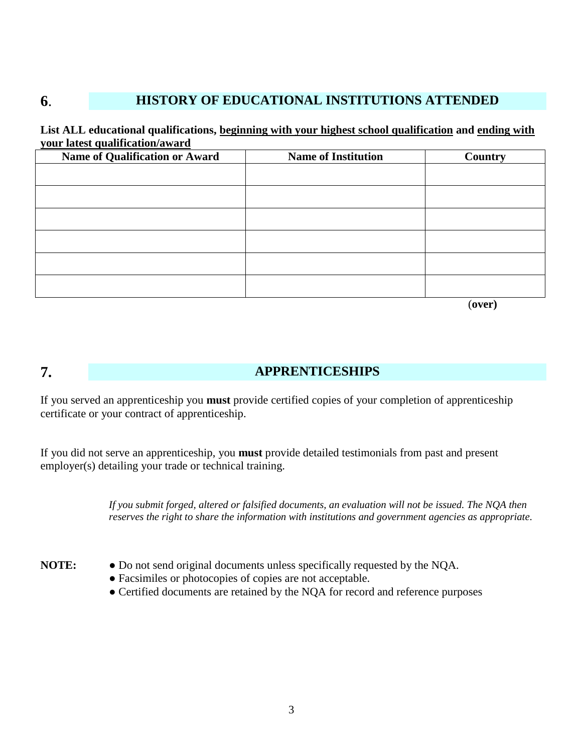# **6**. **HISTORY OF EDUCATIONAL INSTITUTIONS ATTENDED**

#### **List ALL educational qualifications, beginning with your highest school qualification and ending with your latest qualification/award**

| <b>Name of Qualification or Award</b> | <b>Name of Institution</b> | <b>Country</b> |
|---------------------------------------|----------------------------|----------------|
|                                       |                            |                |
|                                       |                            |                |
|                                       |                            |                |
|                                       |                            |                |
|                                       |                            |                |
|                                       |                            |                |
|                                       |                            |                |

(**over)**

#### **7. APPRENTICESHIPS**

If you served an apprenticeship you **must** provide certified copies of your completion of apprenticeship certificate or your contract of apprenticeship.

If you did not serve an apprenticeship, you **must** provide detailed testimonials from past and present employer(s) detailing your trade or technical training.

> *If you submit forged, altered or falsified documents, an evaluation will not be issued. The NQA then reserves the right to share the information with institutions and government agencies as appropriate.*

- **NOTE:** Do not send original documents unless specifically requested by the NQA.
	- Facsimiles or photocopies of copies are not acceptable.
	- Certified documents are retained by the NQA for record and reference purposes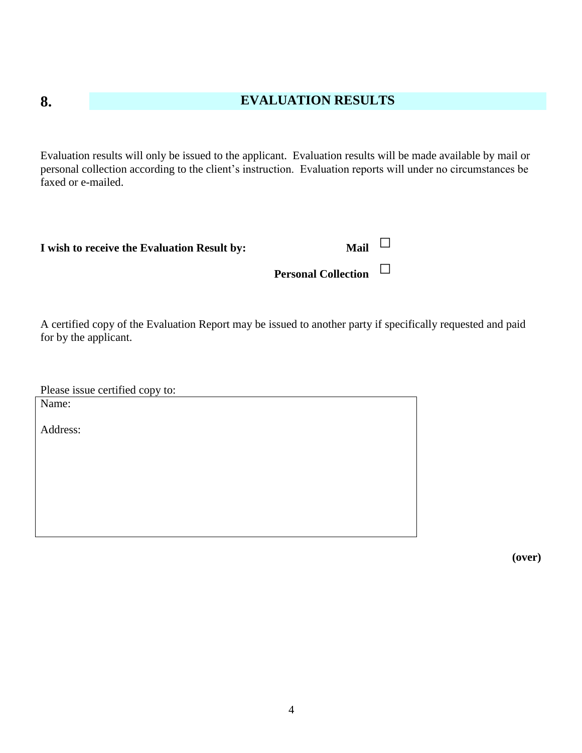## **8. EVALUATION RESULTS**

Evaluation results will only be issued to the applicant. Evaluation results will be made available by mail or personal collection according to the client's instruction. Evaluation reports will under no circumstances be faxed or e-mailed.

| I wish to receive the Evaluation Result by: | <b>Mail</b> |
|---------------------------------------------|-------------|

**Personal Collection** □

A certified copy of the Evaluation Report may be issued to another party if specifically requested and paid for by the applicant.

Please issue certified copy to:

Name:

Address: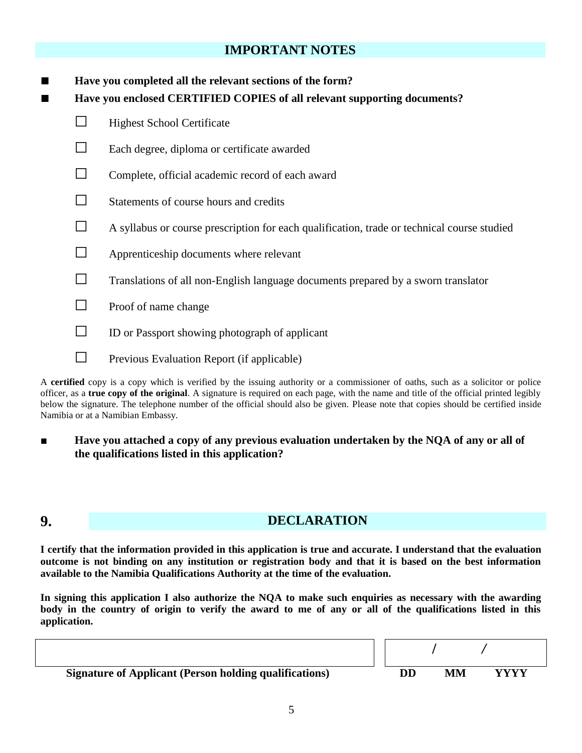### **IMPORTANT NOTES**

| Have you completed all the relevant sections of the form? |                                                                                             |  |
|-----------------------------------------------------------|---------------------------------------------------------------------------------------------|--|
|                                                           | Have you enclosed CERTIFIED COPIES of all relevant supporting documents?                    |  |
|                                                           | <b>Highest School Certificate</b>                                                           |  |
|                                                           | Each degree, diploma or certificate awarded                                                 |  |
|                                                           | Complete, official academic record of each award                                            |  |
|                                                           | Statements of course hours and credits                                                      |  |
| ⊔                                                         | A syllabus or course prescription for each qualification, trade or technical course studied |  |
|                                                           | Apprenticeship documents where relevant                                                     |  |
| $\sim$                                                    | Translations of all non-English language documents prepared by a sworn translator           |  |
| ΙI                                                        | Proof of name change                                                                        |  |
| $\sim$                                                    | ID or Passport showing photograph of applicant                                              |  |
|                                                           | Previous Evaluation Report (if applicable)                                                  |  |

A **certified** copy is a copy which is verified by the issuing authority or a commissioner of oaths, such as a solicitor or police officer, as a **true copy of the original**. A signature is required on each page, with the name and title of the official printed legibly below the signature. The telephone number of the official should also be given. Please note that copies should be certified inside Namibia or at a Namibian Embassy.

■ **Have you attached a copy of any previous evaluation undertaken by the NQA of any or all of the qualifications listed in this application?**

## **9. DECLARATION**

**I certify that the information provided in this application is true and accurate. I understand that the evaluation outcome is not binding on any institution or registration body and that it is based on the best information available to the Namibia Qualifications Authority at the time of the evaluation.**

**In signing this application I also authorize the NQA to make such enquiries as necessary with the awarding**  body in the country of origin to verify the award to me of any or all of the qualifications listed in this **application.**

**Signature of Applicant (Person holding qualifications)**  $DD$  **MM YYYY**